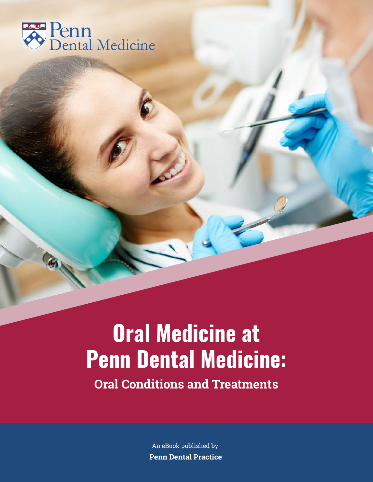

# **Oral Medicine at Penn Dental Medicine: Oral Conditions and Treatments**

An eBook published by: **Penn Dental Practice**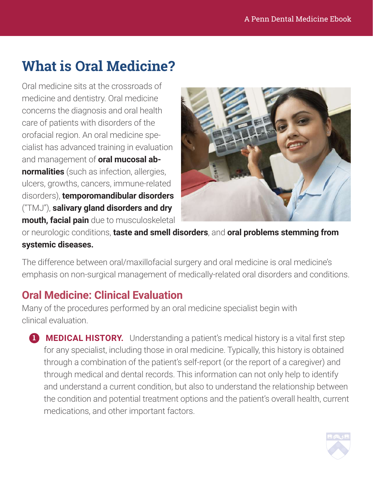## **What is Oral Medicine?**

Oral medicine sits at the crossroads of medicine and dentistry. Oral medicine concerns the diagnosis and oral health care of patients with disorders of the orofacial region. An oral medicine specialist has advanced training in evaluation and management of **oral mucosal abnormalities** (such as infection, allergies, ulcers, growths, cancers, immune-related disorders), **temporomandibular disorders** ("TMJ"), **salivary gland disorders and dry mouth, facial pain** due to musculoskeletal



or neurologic conditions, **taste and smell disorders**, and **oral problems stemming from systemic diseases.**

The difference between oral/maxillofacial surgery and oral medicine is oral medicine's emphasis on non-surgical management of medically-related oral disorders and conditions.

#### **Oral Medicine: Clinical Evaluation**

Many of the procedures performed by an oral medicine specialist begin with clinical evaluation.

**MEDICAL HISTORY.** Understanding a patient's medical history is a vital first step for any specialist, including those in oral medicine. Typically, this history is obtained through a combination of the patient's self-report (or the report of a caregiver) and through medical and dental records. This information can not only help to identify and understand a current condition, but also to understand the relationship between the condition and potential treatment options and the patient's overall health, current medications, and other important factors.

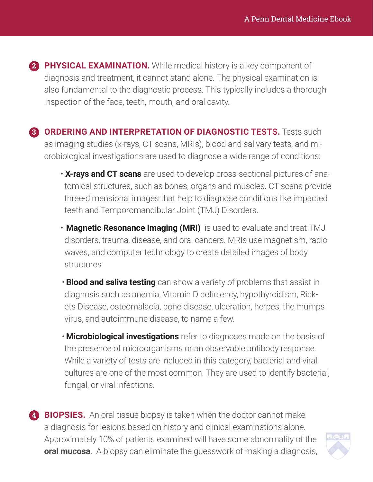**PHYSICAL EXAMINATION.** While medical history is a key component of **2** diagnosis and treatment, it cannot stand alone. The physical examination is also fundamental to the diagnostic process. This typically includes a thorough inspection of the face, teeth, mouth, and oral cavity.

**ORDERING AND INTERPRETATION OF DIAGNOSTIC TESTS.** Tests such **3** as imaging studies (x-rays, CT scans, MRIs), blood and salivary tests, and microbiological investigations are used to diagnose a wide range of conditions:

- **X-rays and CT scans** are used to develop cross-sectional pictures of anatomical structures, such as bones, organs and muscles. CT scans provide three-dimensional images that help to diagnose conditions like impacted teeth and Temporomandibular Joint (TMJ) Disorders.
- **Magnetic Resonance Imaging (MRI)** is used to evaluate and treat TMJ disorders, trauma, disease, and oral cancers. MRIs use magnetism, radio waves, and computer technology to create detailed images of body structures.
- **Blood and saliva testing** can show a variety of problems that assist in diagnosis such as anemia, Vitamin D deficiency, hypothyroidism, Rickets Disease, osteomalacia, bone disease, ulceration, herpes, the mumps virus, and autoimmune disease, to name a few.
- **Microbiological investigations** refer to diagnoses made on the basis of the presence of microorganisms or an observable antibody response. While a variety of tests are included in this category, bacterial and viral cultures are one of the most common. They are used to identify bacterial, fungal, or viral infections.

**BIOPSIES.** An oral tissue biopsy is taken when the doctor cannot make **4**a diagnosis for lesions based on history and clinical examinations alone. Approximately 10% of patients examined will have some abnormality of the **oral mucosa**. A biopsy can eliminate the guesswork of making a diagnosis,

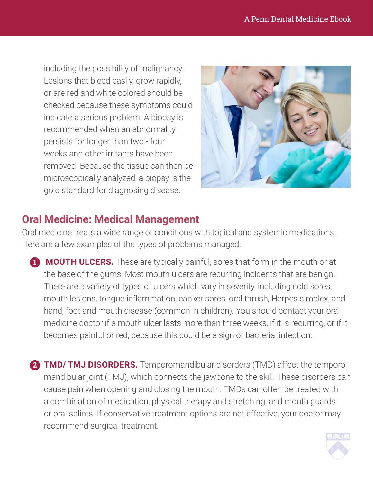including the possibility of malignancy. Lesions that bleed easily, grow rapidly, or are red and white colored should be checked because these symptoms could indicate a serious problem. A biopsy is recommended when an abnormality persists for longer than two - four weeks and other irritants have been removed. Because the tissue can then be microscopically analyzed, a biopsy is the gold standard for diagnosing disease.



#### **Oral Medicine: Medical Management**

Oral medicine treats a wide range of conditions with topical and systemic medications. Here are a few examples of the types of problems managed:

- **MOUTH ULCERS.** These are typically painful, sores that form in the mouth or at **1** the base of the gums. Most mouth ulcers are recurring incidents that are benign. There are a variety of types of ulcers which vary in severity, including cold sores, mouth lesions, tongue inflammation, canker sores, oral thrush, Herpes simplex, and hand, foot and mouth disease (common in children). You should contact your oral medicine doctor if a mouth ulcer lasts more than three weeks, if it is recurring, or if it becomes painful or red, because this could be a sign of bacterial infection.
- **TMD/ TMJ DISORDERS.** Temporomandibular disorders (TMD) affect the temporo-**2**mandibular joint (TMJ), which connects the jawbone to the skill. These disorders can cause pain when opening and closing the mouth. TMDs can often be treated with a combination of medication, physical therapy and stretching, and mouth guards or oral splints. If conservative treatment options are not effective, your doctor may recommend surgical treatment.

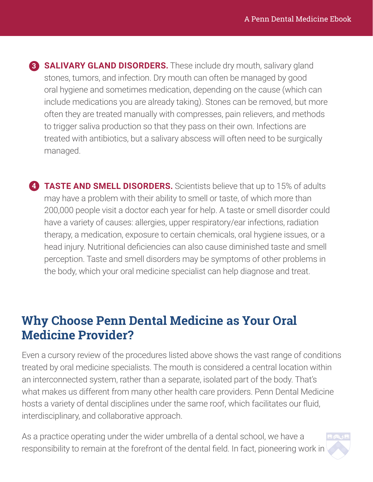**SALIVARY GLAND DISORDERS.** These include dry mouth, salivary gland stones, tumors, and infection. Dry mouth can often be managed by good oral hygiene and sometimes medication, depending on the cause (which can include medications you are already taking). Stones can be removed, but more often they are treated manually with compresses, pain relievers, and methods to trigger saliva production so that they pass on their own. Infections are treated with antibiotics, but a salivary abscess will often need to be surgically managed.

**TASTE AND SMELL DISORDERS.** Scientists believe that up to 15% of adults may have a problem with their ability to smell or taste, of which more than 200,000 people visit a doctor each year for help. A taste or smell disorder could have a variety of causes: allergies, upper respiratory/ear infections, radiation therapy, a medication, exposure to certain chemicals, oral hygiene issues, or a head injury. Nutritional deficiencies can also cause diminished taste and smell perception. Taste and smell disorders may be symptoms of other problems in the body, which your oral medicine specialist can help diagnose and treat.

### **Why Choose Penn Dental Medicine as Your Oral Medicine Provider?**

Even a cursory review of the procedures listed above shows the vast range of conditions treated by oral medicine specialists. The mouth is considered a central location within an interconnected system, rather than a separate, isolated part of the body. That's what makes us different from many other health care providers. Penn Dental Medicine hosts a variety of dental disciplines under the same roof, which facilitates our fluid, interdisciplinary, and collaborative approach.

As a practice operating under the wider umbrella of a dental school, we have a responsibility to remain at the forefront of the dental field. In fact, pioneering work in